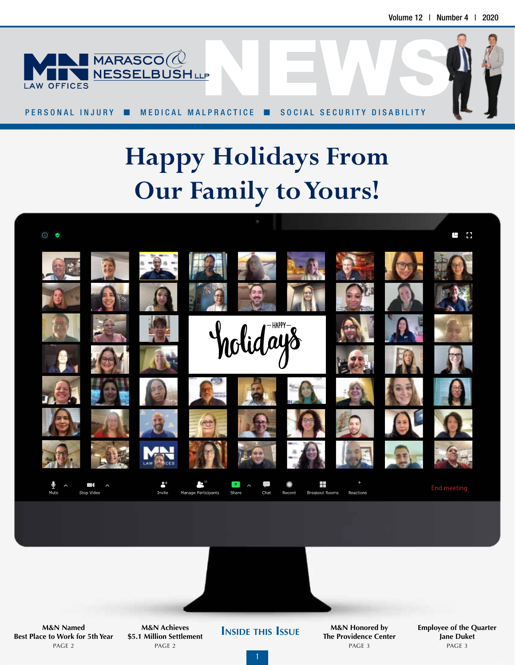

PERSONAL INJURY ■ MEDICAL MALPRACTICE ■ SOCIAL SECURITY DISABILITY

# **Happy Holidays From Our Family to Yours!**





**INSIDE THIS** ISSUE **Best Place to Work for 5th Year** PAGE 2

**M&N Achieves \$5.1 Million Settlement** PAGE 2

**M&N Honored by The Providence Center** PAGE 3

**Employee of the Quarter Jane Duket** PAGE 3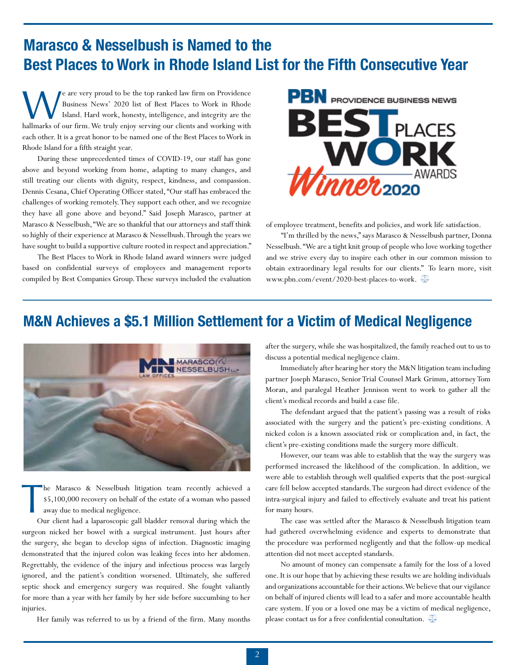## **Marasco & Nesselbush is Named to the Best Places to Work in Rhode Island List for the Fifth Consecutive Year**

We are very proud to be the top ranked law firm on Providence Business News' 2020 list of Best Places to Work in Rhode Island. Hard work, honesty, intelligence, and integrity are the hallmarks of our firm. We truly enjoy s e are very proud to be the top ranked law firm on Providence Business News' 2020 list of Best Places to Work in Rhode Island. Hard work, honesty, intelligence, and integrity are the each other. It is a great honor to be named one of the Best Places to Work in Rhode Island for a fifth straight year.

 During these unprecedented times of COVID-19, our staff has gone above and beyond working from home, adapting to many changes, and still treating our clients with dignity, respect, kindness, and compassion. Dennis Cesana, Chief Operating Officer stated, "Our staff has embraced the challenges of working remotely. They support each other, and we recognize they have all gone above and beyond." Said Joseph Marasco, partner at Marasco & Nesselbush, "We are so thankful that our attorneys and staff think so highly of their experience at Marasco & Nesselbush. Through the years we have sought to build a supportive culture rooted in respect and appreciation."

 The Best Places to Work in Rhode Island award winners were judged based on confidential surveys of employees and management reports compiled by Best Companies Group. These surveys included the evaluation



of employee treatment, benefits and policies, and work life satisfaction.

 "I'm thrilled by the news," says Marasco & Nesselbush partner, Donna Nesselbush. "We are a tight knit group of people who love working together and we strive every day to inspire each other in our common mission to obtain extraordinary legal results for our clients." To learn more, visit www.pbn.com/event/2020-best-places-to-work.

### **M&N Achieves a \$5.1 Million Settlement for a Victim of Medical Negligence**



he Marasco & Nesselbush litigation team recently achieved a \$5,100,000 recovery on behalf of the estate of a woman who passed away due to medical negligence.

 $\prod_{\alpha}$  Our client had a laparoscopic gall bladder removal during which the surgeon nicked her bowel with a surgical instrument. Just hours after the surgery, she began to develop signs of infection. Diagnostic imaging demonstrated that the injured colon was leaking feces into her abdomen. Regrettably, the evidence of the injury and infectious process was largely ignored, and the patient's condition worsened. Ultimately, she suffered septic shock and emergency surgery was required. She fought valiantly for more than a year with her family by her side before succumbing to her injuries.

Her family was referred to us by a friend of the firm. Many months

after the surgery, while she was hospitalized, the family reached out to us to discuss a potential medical negligence claim.

 Immediately after hearing her story the M&N litigation team including partner Joseph Marasco, Senior Trial Counsel Mark Grimm, attorney Tom Moran, and paralegal Heather Jennison went to work to gather all the client's medical records and build a case file.

 The defendant argued that the patient's passing was a result of risks associated with the surgery and the patient's pre-existing conditions. A nicked colon is a known associated risk or complication and, in fact, the client's pre-existing conditions made the surgery more difficult.

 However, our team was able to establish that the way the surgery was performed increased the likelihood of the complication. In addition, we were able to establish through well qualified experts that the post-surgical care fell below accepted standards. The surgeon had direct evidence of the intra-surgical injury and failed to effectively evaluate and treat his patient for many hours.

 The case was settled after the Marasco & Nesselbush litigation team had gathered overwhelming evidence and experts to demonstrate that the procedure was performed negligently and that the follow-up medical attention did not meet accepted standards.

 No amount of money can compensate a family for the loss of a loved one. It is our hope that by achieving these results we are holding individuals and organizations accountable for their actions. We believe that our vigilance on behalf of injured clients will lead to a safer and more accountable health care system. If you or a loved one may be a victim of medical negligence, please contact us for a free confidential consultation.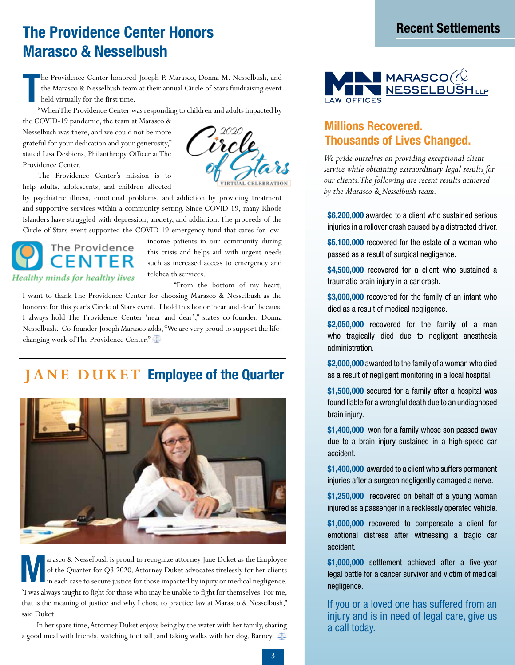## **Recent Settlements The Providence Center Honors Marasco & Nesselbush**

**T** he Providence Center honored Joseph P. Marasco, Donna M. Nesselbush, and the Marasco & Nesselbush team at their annual Circle of Stars fundraising event held virtually for the first time.

"When The Providence Center was responding to children and adults impacted by

the COVID-19 pandemic, the team at Marasco & Nesselbush was there, and we could not be more grateful for your dedication and your generosity," stated Lisa Desbiens, Philanthropy Officer at The Providence Center.

 The Providence Center's mission is to help adults, adolescents, and children affected

by psychiatric illness, emotional problems, and addiction by providing treatment and supportive services within a community setting. Since COVID-19, many Rhode Islanders have struggled with depression, anxiety, and addiction. The proceeds of the Circle of Stars event supported the COVID-19 emergency fund that cares for low-



income patients in our community during this crisis and helps aid with urgent needs such as increased access to emergency and telehealth services.

"From the bottom of my heart,

I want to thank The Providence Center for choosing Marasco & Nesselbush as the honoree for this year's Circle of Stars event. I hold this honor 'near and dear' because I always hold The Providence Center 'near and dear'," states co-founder, Donna Nesselbush. Co-founder Joseph Marasco adds, "We are very proud to support the lifechanging work of The Providence Center."

#### **JANE DUKET Employee of the Quarter**



**M** arasco & Nesselbush is proud to recognize attorney Jane Duket as the Employee of the Quarter for Q3 2020. Attorney Duket advocates tirelessly for her clients in each case to secure justice for those impacted by injury or medical negligence. "I was always taught to fight for those who may be unable to fight for themselves. For me, that is the meaning of justice and why I chose to practice law at Marasco & Nesselbush," said Duket.

 In her spare time, Attorney Duket enjoys being by the water with her family, sharing a good meal with friends, watching football, and taking walks with her dog, Barney.





#### **Millions Recovered. Thousands of Lives Changed.**

*We pride ourselves on providing exceptional client service while obtaining extraordinary legal results for our clients. The following are recent results achieved by the Marasco & Nesselbush team.*

**\$6,200,000** awarded to a client who sustained serious injuries in a rollover crash caused by a distracted driver.

**\$5,100,000** recovered for the estate of a woman who passed as a result of surgical negligence.

**\$4,500,000** recovered for a client who sustained a traumatic brain injury in a car crash.

**\$3,000,000** recovered for the family of an infant who died as a result of medical negligence.

**\$2,050,000** recovered for the family of a man who tragically died due to negligent anesthesia administration.

**\$2,000,000** awarded to the family of a woman who died as a result of negligent monitoring in a local hospital.

**\$1,500,000** secured for a family after a hospital was found liable for a wrongful death due to an undiagnosed brain injury.

**\$1,400,000** won for a family whose son passed away due to a brain injury sustained in a high-speed car accident.

**\$1,400,000** awarded to a client who suffers permanent injuries after a surgeon negligently damaged a nerve.

**\$1,250,000** recovered on behalf of a young woman injured as a passenger in a recklessly operated vehicle.

**\$1,000,000** recovered to compensate a client for emotional distress after witnessing a tragic car accident.

**\$1,000,000** settlement achieved after a five-year legal battle for a cancer survivor and victim of medical negligence.

If you or a loved one has suffered from an injury and is in need of legal care, give us a call today.